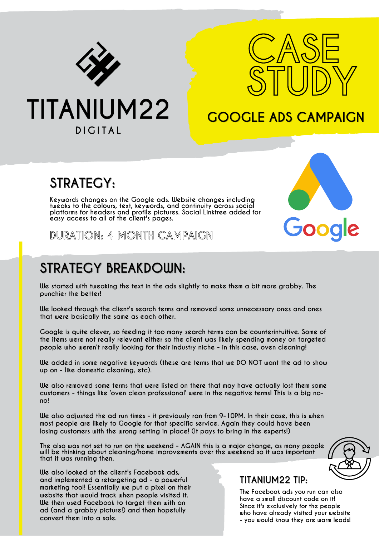



Google

## **GOOGLE ADS CAMPAIGN**

# **TITANIUM22 DIGITAL**

## **STRATEGY:**

**Keywords changes on the Google ads. Website changes including tweaks to the colours, text, keywords, and continuity across social platforms for headers and profile pictures. Social Linktree added for easy access to all of the client's pages.**

**DURATION: 4 MONTH CAMPAIGN**

# **STRATEGY BREAKDOWN:**

**We also looked at the client's Facebook ads, and implemented a retargeting ad - a powerful marketing tool! Essentially we put a pixel on their website that would track when people visited it. We then used Facebook to target them with an ad (and a grabby picture!) and then hopefully**

**convert them into a sale.**

**We started with tweaking the text in the ads slightly to make them a bit more grabby. The punchier the better!**

**We looked through the client's search terms and removed some unnecessary ones and ones that were basically the same as each other.**

**Google is quite clever, so feeding it too many search terms can be counterintuitive. Some of the items were not really relevant either so the client was likely spending money on targeted people who weren't really looking for their industry niche - in this case, oven cleaning!**

**We added in some negative keywords (these are terms that we DO NOT want the ad to show up on - like domestic cleaning, etc).**

**We also removed some terms that were listed on there that may have actually lost them some customers - things like 'oven clean professional' were in the negative terms! This is a big nono!**

We also adjusted the ad run times - it previously ran from 9-10PM. In their case, this is when **most people are likely to Google for that specific service. Again they could have been losing customers with the wrong setting in place! (It pays to bring in the experts!)**

The also was not set to run on the weekend - AGAIN this is a major change, as many people **will be thinking about cleaning/home improvements over the weekend so it was important that it was running then.**



#### **TITANIUM22 TIP:**

**The Facebook ads you run can also have a small discount code on it! Since it's exclusively for the people who have already visited your website - you would know they are warm leads!**